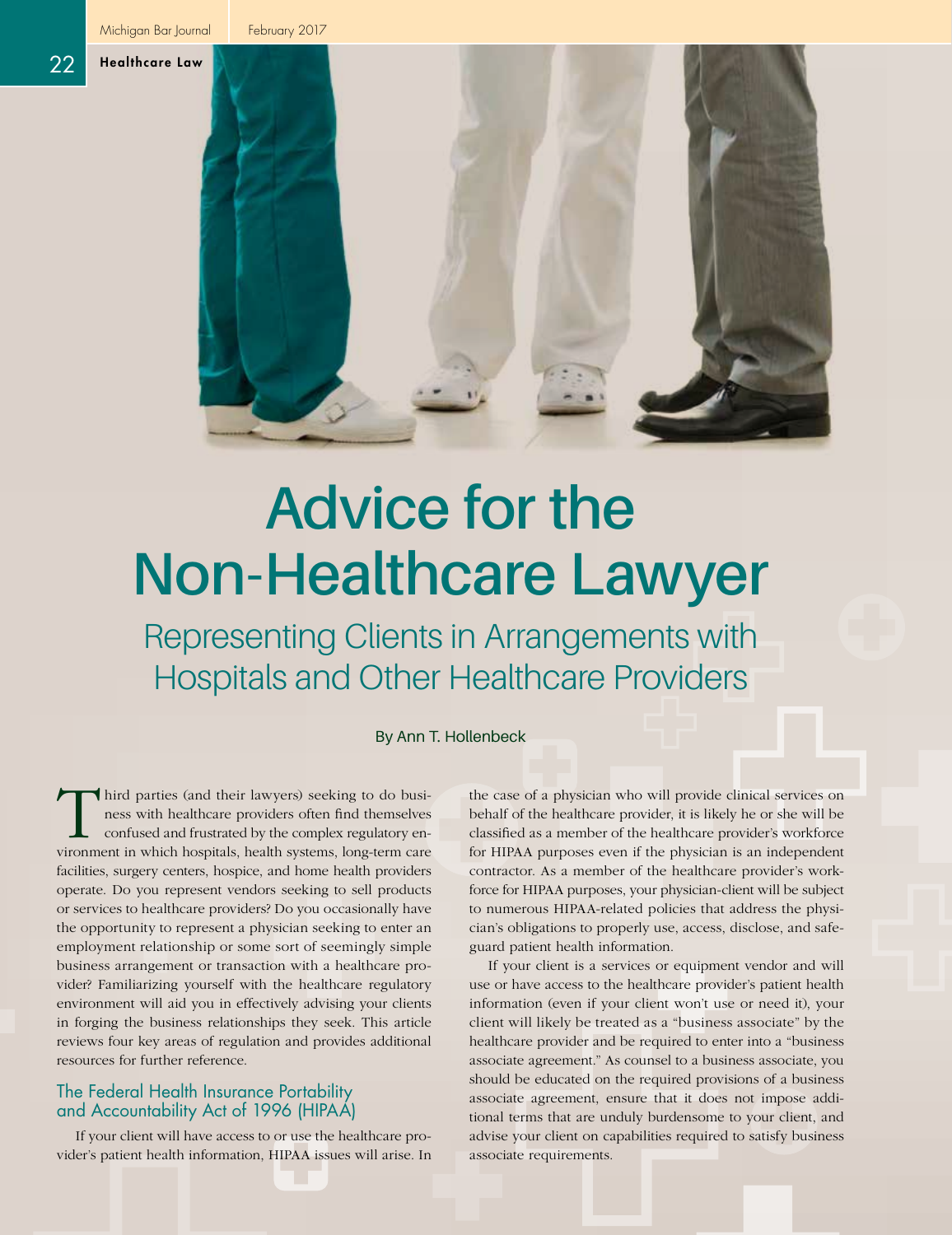Michigan Bar Journal | February 2017

22 Healthcare Law



# **Advice for the Non-Healthcare Lawyer**

Representing Clients in Arrangements with Hospitals and Other Healthcare Providers

By Ann T. Hollenbeck

Third parties (and their lawyers) seeking to do business with healthcare providers often find themselves<br>confused and frustrated by the complex regulatory en-<br>vironment in which hospitals, health systems, long-term care ness with healthcare providers often find themselves confused and frustrated by the complex regulatory environment in which hospitals, health systems, long-term care facilities, surgery centers, hospice, and home health providers operate. Do you represent vendors seeking to sell products or services to healthcare providers? Do you occasionally have the opportunity to represent a physician seeking to enter an employment relationship or some sort of seemingly simple business arrangement or transaction with a healthcare provider? Familiarizing yourself with the healthcare regulatory environment will aid you in effectively advising your clients in forging the business relationships they seek. This article reviews four key areas of regulation and provides additional resources for further reference.

# The Federal Health Insurance Portability and Accountability Act of 1996 (HIPAA)

If your client will have access to or use the healthcare provider's patient health information, HIPAA issues will arise. In the case of a physician who will provide clinical services on behalf of the healthcare provider, it is likely he or she will be classified as a member of the healthcare provider's workforce for HIPAA purposes even if the physician is an independent contractor. As a member of the healthcare provider's workforce for HIPAA purposes, your physician-client will be subject to numerous HIPAA-related policies that address the physician's obligations to properly use, access, disclose, and safeguard patient health information.

If your client is a services or equipment vendor and will use or have access to the healthcare provider's patient health information (even if your client won't use or need it), your client will likely be treated as a "business associate" by the healthcare provider and be required to enter into a "business associate agreement." As counsel to a business associate, you should be educated on the required provisions of a business associate agreement, ensure that it does not impose additional terms that are unduly burdensome to your client, and advise your client on capabilities required to satisfy business associate requirements.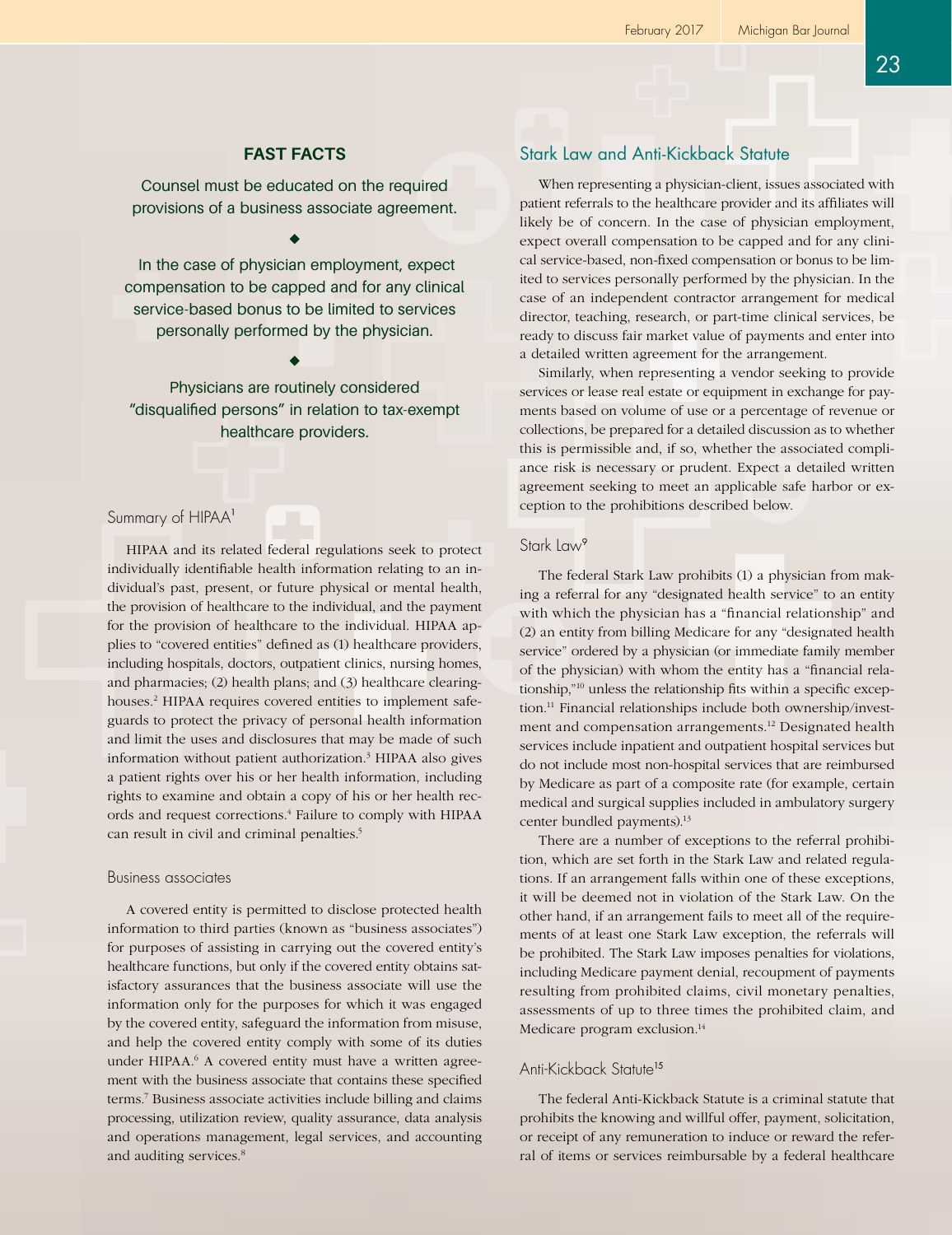## **FAST FACTS**

Counsel must be educated on the required provisions of a business associate agreement.

 In the case of physician employment, expect compensation to be capped and for any clinical service-based bonus to be limited to services personally performed by the physician.

Physicians are routinely considered "disqualified persons" in relation to tax-exempt healthcare providers.

## Summary of HIPAA<sup>1</sup>

HIPAA and its related federal regulations seek to protect individually identifiable health information relating to an individual's past, present, or future physical or mental health, the provision of healthcare to the individual, and the payment for the provision of healthcare to the individual. HIPAA applies to "covered entities" defined as (1) healthcare providers, including hospitals, doctors, outpatient clinics, nursing homes, and pharmacies; (2) health plans; and (3) healthcare clearinghouses.<sup>2</sup> HIPAA requires covered entities to implement safeguards to protect the privacy of personal health information and limit the uses and disclosures that may be made of such information without patient authorization.3 HIPAA also gives a patient rights over his or her health information, including rights to examine and obtain a copy of his or her health records and request corrections.<sup>4</sup> Failure to comply with HIPAA can result in civil and criminal penalties.<sup>5</sup>

#### Business associates

A covered entity is permitted to disclose protected health information to third parties (known as "business associates") for purposes of assisting in carrying out the covered entity's healthcare functions, but only if the covered entity obtains satisfactory assurances that the business associate will use the information only for the purposes for which it was engaged by the covered entity, safeguard the information from misuse, and help the covered entity comply with some of its duties under HIPAA.<sup>6</sup> A covered entity must have a written agreement with the business associate that contains these specified terms.7 Business associate activities include billing and claims processing, utilization review, quality assurance, data analysis and operations management, legal services, and accounting and auditing services.<sup>8</sup>

# Stark Law and Anti-Kickback Statute

When representing a physician-client, issues associated with patient referrals to the healthcare provider and its affiliates will likely be of concern. In the case of physician employment, expect overall compensation to be capped and for any clinical service-based, non-fixed compensation or bonus to be limited to services personally performed by the physician. In the case of an independent contractor arrangement for medical director, teaching, research, or part-time clinical services, be ready to discuss fair market value of payments and enter into a detailed written agreement for the arrangement.

Similarly, when representing a vendor seeking to provide services or lease real estate or equipment in exchange for payments based on volume of use or a percentage of revenue or collections, be prepared for a detailed discussion as to whether this is permissible and, if so, whether the associated compliance risk is necessary or prudent. Expect a detailed written agreement seeking to meet an applicable safe harbor or exception to the prohibitions described below.

## Stark Law<sup>9</sup>

The federal Stark Law prohibits (1) a physician from making a referral for any "designated health service" to an entity with which the physician has a "financial relationship" and (2) an entity from billing Medicare for any "designated health service" ordered by a physician (or immediate family member of the physician) with whom the entity has a "financial relationship,"10 unless the relationship fits within a specific exception.11 Financial relationships include both ownership/investment and compensation arrangements.<sup>12</sup> Designated health services include inpatient and outpatient hospital services but do not include most non-hospital services that are reimbursed by Medicare as part of a composite rate (for example, certain medical and surgical supplies included in ambulatory surgery center bundled payments).<sup>13</sup>

There are a number of exceptions to the referral prohibition, which are set forth in the Stark Law and related regulations. If an arrangement falls within one of these exceptions, it will be deemed not in violation of the Stark Law. On the other hand, if an arrangement fails to meet all of the requirements of at least one Stark Law exception, the referrals will be prohibited. The Stark Law imposes penalties for violations, including Medicare payment denial, recoupment of payments resulting from prohibited claims, civil monetary penalties, assessments of up to three times the prohibited claim, and Medicare program exclusion.<sup>14</sup>

# Anti-Kickback Statute<sup>15</sup>

The federal Anti-Kickback Statute is a criminal statute that prohibits the knowing and willful offer, payment, solicitation, or receipt of any remuneration to induce or reward the referral of items or services reimbursable by a federal healthcare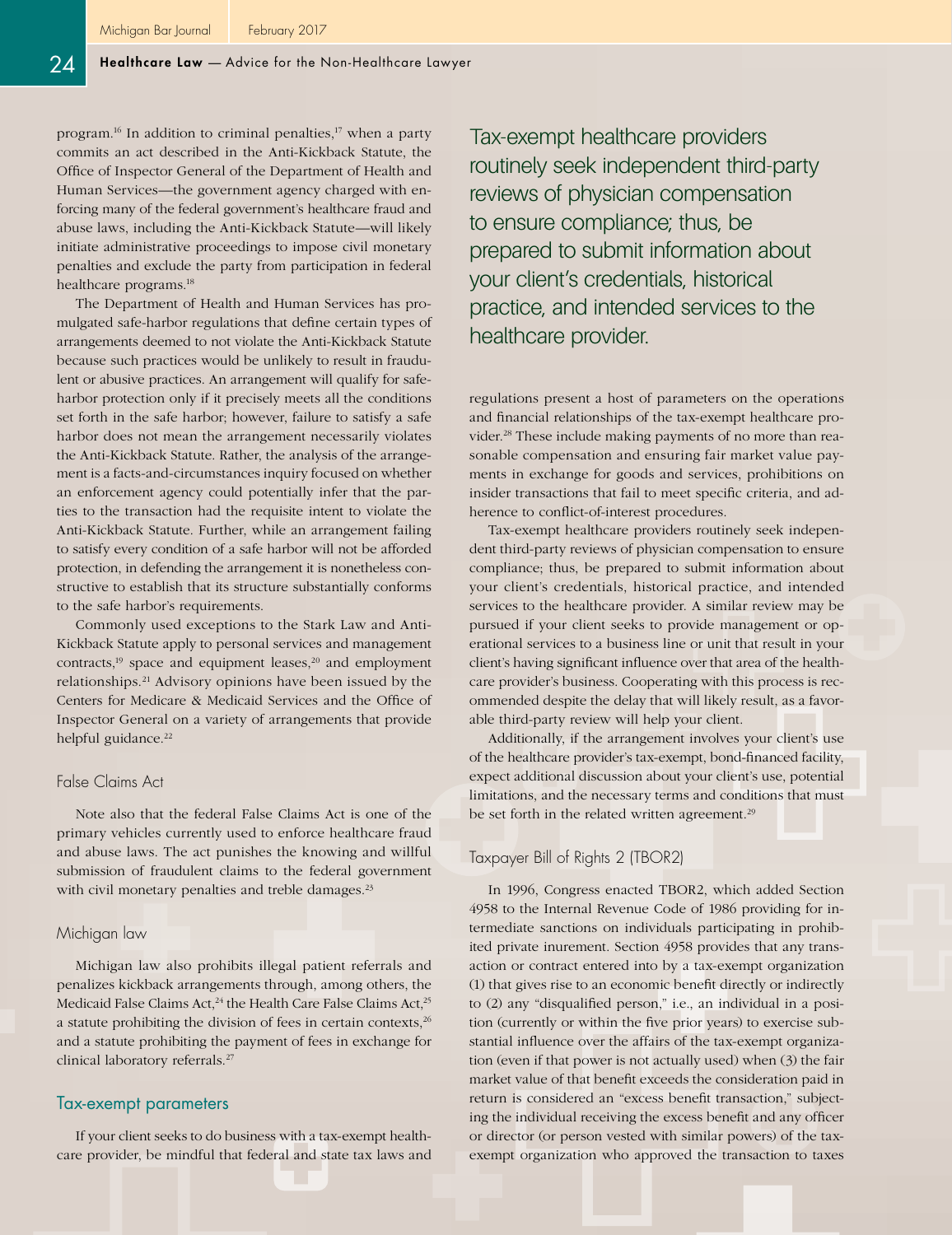program.<sup>16</sup> In addition to criminal penalties,<sup>17</sup> when a party commits an act described in the Anti-Kickback Statute, the Office of Inspector General of the Department of Health and Human Services—the government agency charged with enforcing many of the federal government's healthcare fraud and abuse laws, including the Anti-Kickback Statute—will likely initiate administrative proceedings to impose civil monetary penalties and exclude the party from participation in federal healthcare programs.<sup>18</sup>

The Department of Health and Human Services has promulgated safe-harbor regulations that define certain types of arrangements deemed to not violate the Anti-Kickback Statute because such practices would be unlikely to result in fraudulent or abusive practices. An arrangement will qualify for safeharbor protection only if it precisely meets all the conditions set forth in the safe harbor; however, failure to satisfy a safe harbor does not mean the arrangement necessarily violates the Anti-Kickback Statute. Rather, the analysis of the arrangement is a facts-and-circumstances inquiry focused on whether an enforcement agency could potentially infer that the parties to the transaction had the requisite intent to violate the Anti-Kickback Statute. Further, while an arrangement failing to satisfy every condition of a safe harbor will not be afforded protection, in defending the arrangement it is nonetheless constructive to establish that its structure substantially conforms to the safe harbor's requirements.

Commonly used exceptions to the Stark Law and Anti-Kickback Statute apply to personal services and management contracts, $19$  space and equipment leases, $20$  and employment relationships.21 Advisory opinions have been issued by the Centers for Medicare & Medicaid Services and the Office of Inspector General on a variety of arrangements that provide helpful guidance.<sup>22</sup>

#### False Claims Act

Note also that the federal False Claims Act is one of the primary vehicles currently used to enforce healthcare fraud and abuse laws. The act punishes the knowing and willful submission of fraudulent claims to the federal government with civil monetary penalties and treble damages.<sup>23</sup>

#### Michigan law

Michigan law also prohibits illegal patient referrals and penalizes kickback arrangements through, among others, the Medicaid False Claims Act,<sup>24</sup> the Health Care False Claims Act,<sup>25</sup> a statute prohibiting the division of fees in certain contexts,<sup>26</sup> and a statute prohibiting the payment of fees in exchange for clinical laboratory referrals.<sup>27</sup>

#### Tax-exempt parameters

If your client seeks to do business with a tax-exempt healthcare provider, be mindful that federal and state tax laws and Tax-exempt healthcare providers routinely seek independent third-party reviews of physician compensation to ensure compliance; thus, be prepared to submit information about your client's credentials, historical practice, and intended services to the healthcare provider.

regulations present a host of parameters on the operations and financial relationships of the tax-exempt healthcare provider.28 These include making payments of no more than reasonable compensation and ensuring fair market value payments in exchange for goods and services, prohibitions on insider transactions that fail to meet specific criteria, and adherence to conflict-of-interest procedures.

Tax-exempt healthcare providers routinely seek independent third-party reviews of physician compensation to ensure compliance; thus, be prepared to submit information about your client's credentials, historical practice, and intended services to the healthcare provider. A similar review may be pursued if your client seeks to provide management or operational services to a business line or unit that result in your client's having significant influence over that area of the healthcare provider's business. Cooperating with this process is recommended despite the delay that will likely result, as a favorable third-party review will help your client.

Additionally, if the arrangement involves your client's use of the healthcare provider's tax-exempt, bond-financed facility, expect additional discussion about your client's use, potential limitations, and the necessary terms and conditions that must be set forth in the related written agreement.<sup>29</sup>

#### Taxpayer Bill of Rights 2 (TBOR2)

In 1996, Congress enacted TBOR2, which added Section 4958 to the Internal Revenue Code of 1986 providing for intermediate sanctions on individuals participating in prohibited private inurement. Section 4958 provides that any transaction or contract entered into by a tax-exempt organization (1) that gives rise to an economic benefit directly or indirectly to (2) any "disqualified person," i.e., an individual in a position (currently or within the five prior years) to exercise substantial influence over the affairs of the tax-exempt organization (even if that power is not actually used) when (3) the fair market value of that benefit exceeds the consideration paid in return is considered an "excess benefit transaction," subjecting the individual receiving the excess benefit and any officer or director (or person vested with similar powers) of the taxexempt organization who approved the transaction to taxes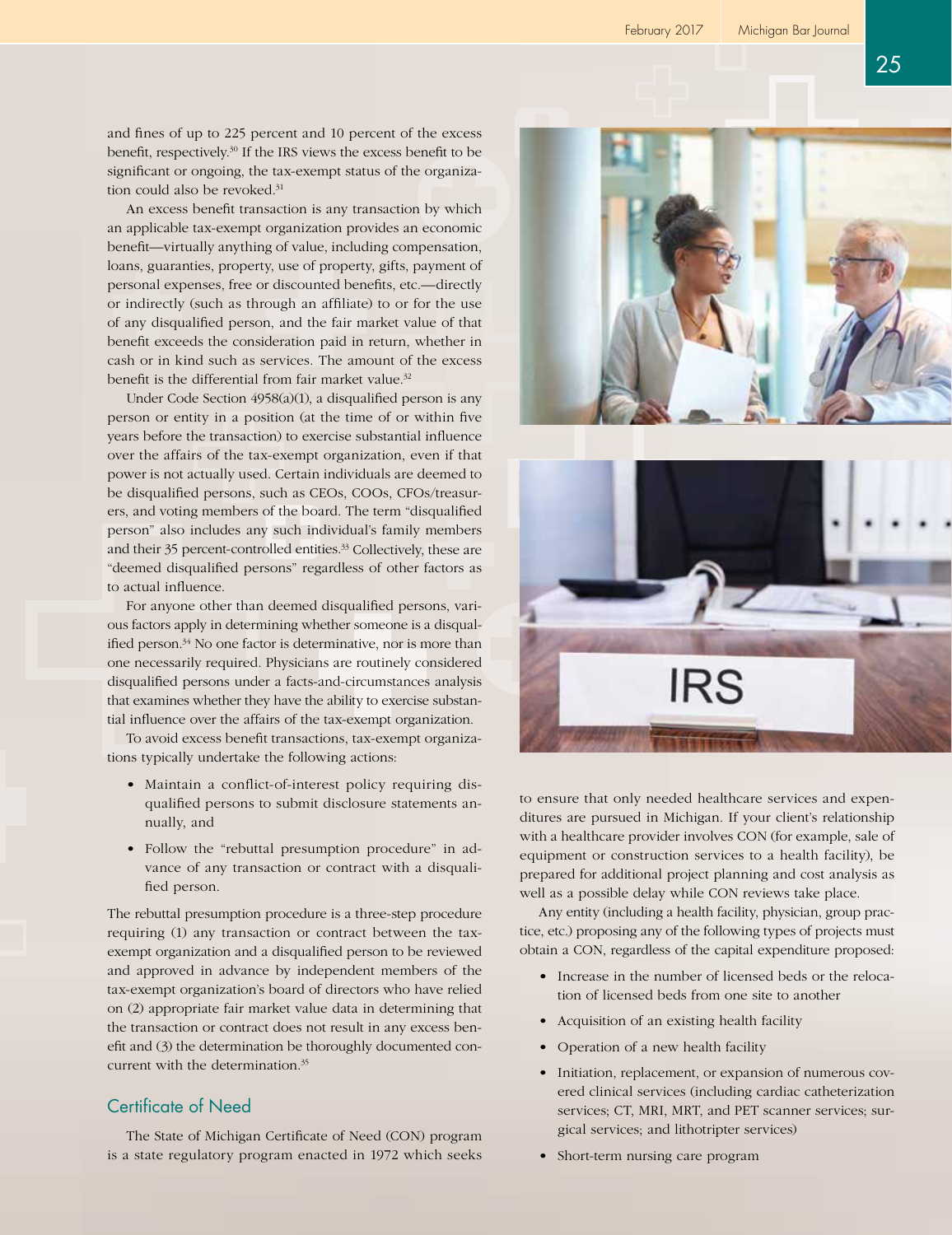and fines of up to 225 percent and 10 percent of the excess benefit, respectively.30 If the IRS views the excess benefit to be significant or ongoing, the tax-exempt status of the organization could also be revoked.<sup>31</sup>

An excess benefit transaction is any transaction by which an applicable tax-exempt organization provides an economic benefit—virtually anything of value, including compensation, loans, guaranties, property, use of property, gifts, payment of personal expenses, free or discounted benefits, etc.—directly or indirectly (such as through an affiliate) to or for the use of any disqualified person, and the fair market value of that benefit exceeds the consideration paid in return, whether in cash or in kind such as services. The amount of the excess benefit is the differential from fair market value.<sup>32</sup>

Under Code Section 4958(a)(1), a disqualified person is any person or entity in a position (at the time of or within five years before the transaction) to exercise substantial influence over the affairs of the tax-exempt organization, even if that power is not actually used. Certain individuals are deemed to be disqualified persons, such as CEOs, COOs, CFOs/treasurers, and voting members of the board. The term "disqualified person" also includes any such individual's family members and their 35 percent-controlled entities.<sup>33</sup> Collectively, these are "deemed disqualified persons" regardless of other factors as to actual influence.

For anyone other than deemed disqualified persons, various factors apply in determining whether someone is a disqualified person.<sup>34</sup> No one factor is determinative, nor is more than one necessarily required. Physicians are routinely considered disqualified persons under a facts-and-circumstances analysis that examines whether they have the ability to exercise substantial influence over the affairs of the tax-exempt organization.

To avoid excess benefit transactions, tax-exempt organizations typically undertake the following actions:

- Maintain a conflict-of-interest policy requiring disqualified persons to submit disclosure statements annually, and
- Follow the "rebuttal presumption procedure" in advance of any transaction or contract with a disqualified person.

The rebuttal presumption procedure is a three-step procedure requiring (1) any transaction or contract between the taxexempt organization and a disqualified person to be reviewed and approved in advance by independent members of the tax-exempt organization's board of directors who have relied on (2) appropriate fair market value data in determining that the transaction or contract does not result in any excess benefit and (3) the determination be thoroughly documented concurrent with the determination.35

# Certificate of Need

The State of Michigan Certificate of Need (CON) program is a state regulatory program enacted in 1972 which seeks





to ensure that only needed healthcare services and expenditures are pursued in Michigan. If your client's relationship with a healthcare provider involves CON (for example, sale of equipment or construction services to a health facility), be prepared for additional project planning and cost analysis as well as a possible delay while CON reviews take place.

Any entity (including a health facility, physician, group practice, etc.) proposing any of the following types of projects must obtain a CON, regardless of the capital expenditure proposed:

- Increase in the number of licensed beds or the relocation of licensed beds from one site to another
- Acquisition of an existing health facility
- Operation of a new health facility
- Initiation, replacement, or expansion of numerous covered clinical services (including cardiac catheterization services; CT, MRI, MRT, and PET scanner services; surgical services; and lithotripter services)
- Short-term nursing care program